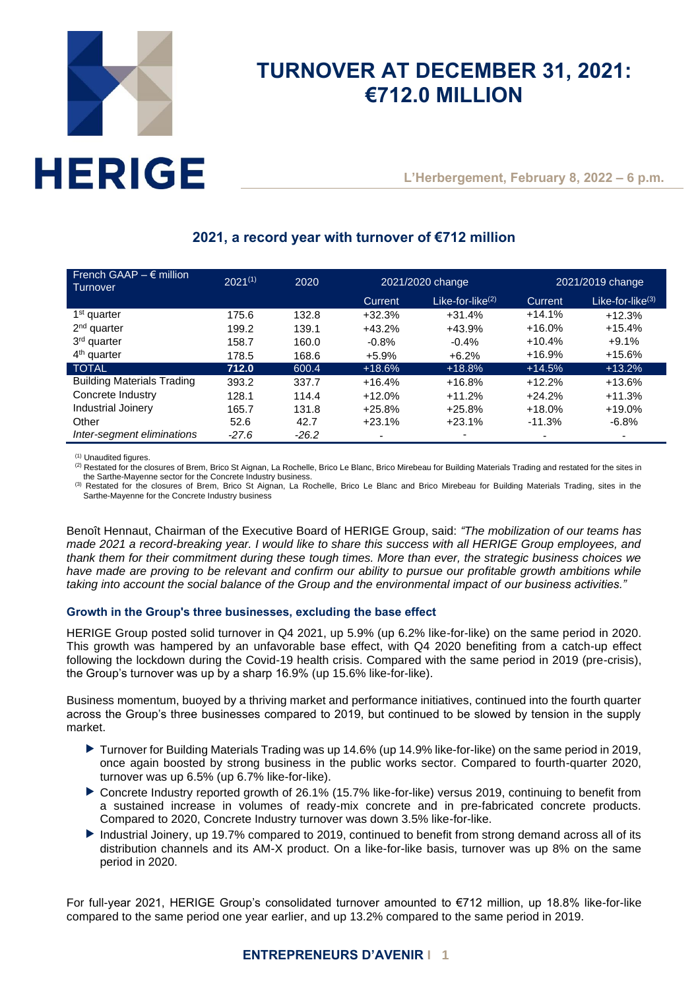

# **TURNOVER AT DECEMBER 31, 2021: €712.0 MILLION**

**L'Herbergement, February 8, 2022 – 6 p.m.**

# **2021, a record year with turnover of €712 million**

| French GAAP $- \epsilon$ million<br>Turnover | $2021^{(1)}$ | 2020    | 2021/2020 change |                     | 2021/2019 change |                          |
|----------------------------------------------|--------------|---------|------------------|---------------------|------------------|--------------------------|
|                                              |              |         | <b>Current</b>   | Like-for-like $(2)$ | Current          | Like-for-like $(3)$      |
| 1 <sup>st</sup> quarter                      | 175.6        | 132.8   | $+32.3%$         | $+31.4%$            | $+14.1%$         | $+12.3%$                 |
| $2nd$ quarter                                | 199.2        | 139.1   | $+43.2%$         | $+43.9%$            | $+16.0%$         | $+15.4%$                 |
| 3 <sup>rd</sup> quarter                      | 158.7        | 160.0   | $-0.8%$          | $-0.4%$             | $+10.4%$         | $+9.1%$                  |
| $4th$ quarter                                | 178.5        | 168.6   | $+5.9%$          | $+6.2%$             | $+16.9%$         | $+15.6%$                 |
| <b>TOTAL</b>                                 | 712.0        | 600.4   | $+18.6%$         | $+18.8%$            | $+14.5%$         | $+13.2%$                 |
| <b>Building Materials Trading</b>            | 393.2        | 337.7   | $+16.4%$         | $+16.8%$            | $+12.2%$         | $+13.6%$                 |
| Concrete Industry                            | 128.1        | 114.4   | $+12.0%$         | $+11.2%$            | $+24.2%$         | $+11.3%$                 |
| Industrial Joinery                           | 165.7        | 131.8   | $+25.8%$         | $+25.8%$            | $+18.0%$         | $+19.0%$                 |
| Other                                        | 52.6         | 42.7    | $+23.1%$         | $+23.1%$            | $-11.3%$         | $-6.8%$                  |
| Inter-segment eliminations                   | $-27.6$      | $-26.2$ |                  | -                   | $\blacksquare$   | $\overline{\phantom{0}}$ |

(1) Unaudited figures.

(2) Restated for the closures of Brem, Brico St Aignan, La Rochelle, Brico Le Blanc, Brico Mirebeau for Building Materials Trading and restated for the sites in the Sarthe-Mayenne sector for the Concrete Industry business.

(3) Restated for the closures of Brem, Brico St Aignan, La Rochelle, Brico Le Blanc and Brico Mirebeau for Building Materials Trading, sites in the Sarthe-Mayenne for the Concrete Industry business

Benoît Hennaut, Chairman of the Executive Board of HERIGE Group, said: *"The mobilization of our teams has made 2021 a record-breaking year. I would like to share this success with all HERIGE Group employees, and thank them for their commitment during these tough times. More than ever, the strategic business choices we have made are proving to be relevant and confirm our ability to pursue our profitable growth ambitions while taking into account the social balance of the Group and the environmental impact of our business activities."*

## **Growth in the Group's three businesses, excluding the base effect**

HERIGE Group posted solid turnover in Q4 2021, up 5.9% (up 6.2% like-for-like) on the same period in 2020. This growth was hampered by an unfavorable base effect, with Q4 2020 benefiting from a catch-up effect following the lockdown during the Covid-19 health crisis. Compared with the same period in 2019 (pre-crisis), the Group's turnover was up by a sharp 16.9% (up 15.6% like-for-like).

Business momentum, buoyed by a thriving market and performance initiatives, continued into the fourth quarter across the Group's three businesses compared to 2019, but continued to be slowed by tension in the supply market.

- ▶ Turnover for Building Materials Trading was up 14.6% (up 14.9% like-for-like) on the same period in 2019, once again boosted by strong business in the public works sector. Compared to fourth-quarter 2020, turnover was up 6.5% (up 6.7% like-for-like).
- ▶ Concrete Industry reported growth of 26.1% (15.7% like-for-like) versus 2019, continuing to benefit from a sustained increase in volumes of ready-mix concrete and in pre-fabricated concrete products. Compared to 2020, Concrete Industry turnover was down 3.5% like-for-like.
- Industrial Joinery, up 19.7% compared to 2019, continued to benefit from strong demand across all of its distribution channels and its AM-X product. On a like-for-like basis, turnover was up 8% on the same period in 2020.

For full-year 2021, HERIGE Group's consolidated turnover amounted to €712 million, up 18.8% like-for-like compared to the same period one year earlier, and up 13.2% compared to the same period in 2019.

# **ENTREPRENEURS D'AVENIR I 1**